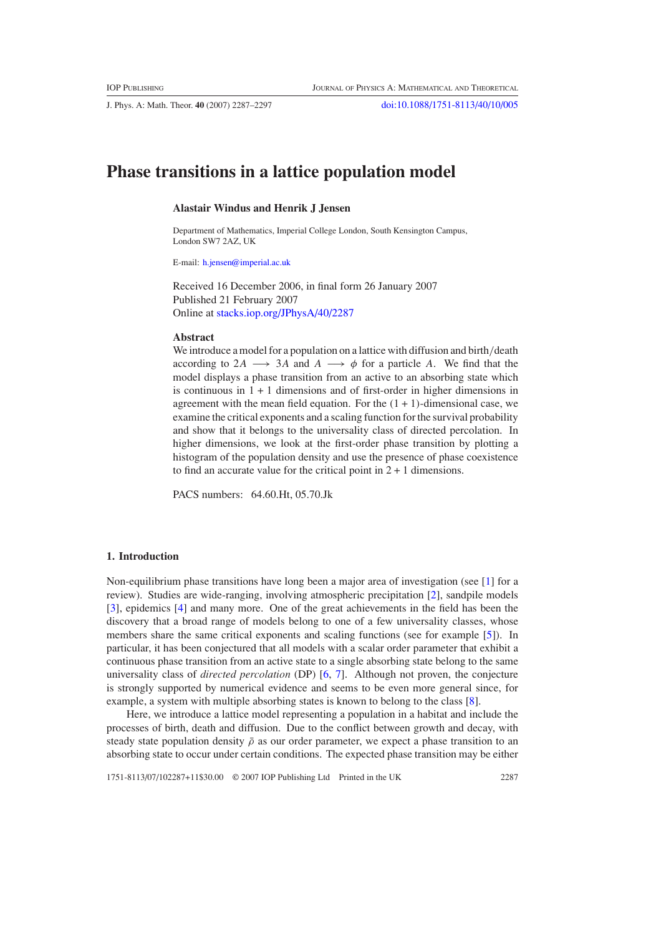J. Phys. A: Math. Theor. **40** (2007) 2287–2297 [doi:10.1088/1751-8113/40/10/005](http://dx.doi.org/10.1088/1751-8113/40/10/005)

# **Phase transitions in a lattice population model**

# **Alastair Windus and Henrik J Jensen**

Department of Mathematics, Imperial College London, South Kensington Campus, London SW7 2AZ, UK

E-mail: [h.jensen@imperial.ac.uk](mailto:h.jensen@imperial.ac.uk)

Received 16 December 2006, in final form 26 January 2007 Published 21 February 2007 Online at [stacks.iop.org/JPhysA/40/2287](http://stacks.iop.org/JPhysA/40/2287)

#### **Abstract**

We introduce a model for a population on a lattice with diffusion and birth*/*death according to 2*A* → 3*A* and *A* →  $\phi$  for a particle *A*. We find that the model displays a phase transition from an active to an absorbing state which is continuous in  $1 + 1$  dimensions and of first-order in higher dimensions in agreement with the mean field equation. For the  $(1 + 1)$ -dimensional case, we examine the critical exponents and a scaling function for the survival probability and show that it belongs to the universality class of directed percolation. In higher dimensions, we look at the first-order phase transition by plotting a histogram of the population density and use the presence of phase coexistence to find an accurate value for the critical point in  $2 + 1$  dimensions.

PACS numbers: 64.60.Ht, 05.70.Jk

# **1. Introduction**

Non-equilibrium phase transitions have long been a major area of investigation (see [\[1\]](#page-9-0) for a review). Studies are wide-ranging, involving atmospheric precipitation [\[2\]](#page-9-0), sandpile models [\[3](#page-9-0)], epidemics [\[4](#page-9-0)] and many more. One of the great achievements in the field has been the discovery that a broad range of models belong to one of a few universality classes, whose members share the same critical exponents and scaling functions (see for example [\[5](#page-9-0)]). In particular, it has been conjectured that all models with a scalar order parameter that exhibit a continuous phase transition from an active state to a single absorbing state belong to the same universality class of *directed percolation* (DP) [\[6,](#page-9-0) [7\]](#page-9-0). Although not proven, the conjecture is strongly supported by numerical evidence and seems to be even more general since, for example, a system with multiple absorbing states is known to belong to the class [\[8](#page-9-0)].

Here, we introduce a lattice model representing a population in a habitat and include the processes of birth, death and diffusion. Due to the conflict between growth and decay, with steady state population density  $\bar{\rho}$  as our order parameter, we expect a phase transition to an absorbing state to occur under certain conditions. The expected phase transition may be either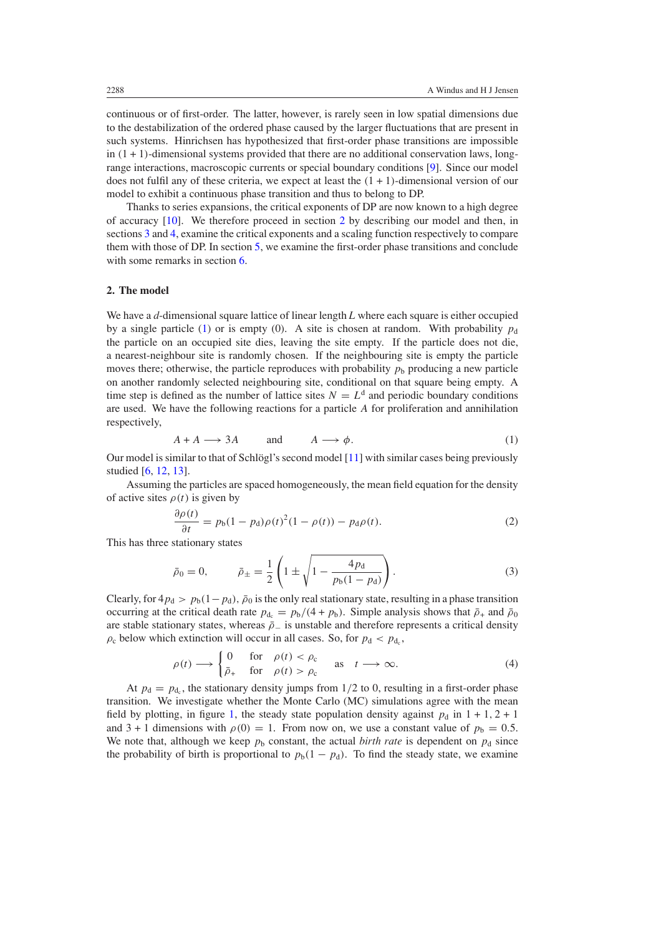continuous or of first-order. The latter, however, is rarely seen in low spatial dimensions due to the destabilization of the ordered phase caused by the larger fluctuations that are present in such systems. Hinrichsen has hypothesized that first-order phase transitions are impossible in  $(1 + 1)$ -dimensional systems provided that there are no additional conservation laws, longrange interactions, macroscopic currents or special boundary conditions [\[9](#page-10-0)]. Since our model does not fulfil any of these criteria, we expect at least the *(*1+1*)*-dimensional version of our model to exhibit a continuous phase transition and thus to belong to DP.

Thanks to series expansions, the critical exponents of DP are now known to a high degree of accuracy  $[10]$ . We therefore proceed in section 2 by describing our model and then, in sections [3](#page-2-0) and [4,](#page-5-0) examine the critical exponents and a scaling function respectively to compare them with those of DP. In section [5,](#page-7-0) we examine the first-order phase transitions and conclude with some remarks in section [6.](#page-8-0)

#### **2. The model**

We have a *d*-dimensional square lattice of linear length *L* where each square is either occupied by a single particle (1) or is empty (0). A site is chosen at random. With probability  $p_d$ the particle on an occupied site dies, leaving the site empty. If the particle does not die, a nearest-neighbour site is randomly chosen. If the neighbouring site is empty the particle moves there; otherwise, the particle reproduces with probability  $p<sub>b</sub>$  producing a new particle on another randomly selected neighbouring site, conditional on that square being empty. A time step is defined as the number of lattice sites  $N = L<sup>d</sup>$  and periodic boundary conditions are used. We have the following reactions for a particle *A* for proliferation and annihilation respectively,

$$
A + A \longrightarrow 3A \qquad \text{and} \qquad A \longrightarrow \phi. \tag{1}
$$

Our model is similar to that of Schlögl's second model  $[11]$  $[11]$  $[11]$  with similar cases being previously studied [\[6,](#page-9-0) [12](#page-10-0), [13](#page-10-0)].

Assuming the particles are spaced homogeneously, the mean field equation for the density of active sites  $\rho(t)$  is given by

$$
\frac{\partial \rho(t)}{\partial t} = p_b (1 - p_d) \rho(t)^2 (1 - \rho(t)) - p_d \rho(t). \tag{2}
$$

This has three stationary states

$$
\bar{p}_0 = 0, \qquad \bar{p}_{\pm} = \frac{1}{2} \left( 1 \pm \sqrt{1 - \frac{4p_d}{p_b(1 - p_d)}} \right). \tag{3}
$$

Clearly, for  $4p_d > p_b(1-p_d)$ ,  $\bar{p}_0$  is the only real stationary state, resulting in a phase transition occurring at the critical death rate  $p_{d_c} = p_b/(4 + p_b)$ . Simple analysis shows that  $\bar{p}_+$  and  $\bar{p}_0$ are stable stationary states, whereas  $\bar{p}_-$  is unstable and therefore represents a critical density  $\rho_c$  below which extinction will occur in all cases. So, for  $p_d$  <  $p_d$ ,

$$
\rho(t) \longrightarrow \begin{cases} 0 & \text{for} \quad \rho(t) < \rho_{\text{c}} \\ \bar{\rho}_{+} & \text{for} \quad \rho(t) > \rho_{\text{c}} \end{cases} \quad \text{as} \quad t \longrightarrow \infty. \tag{4}
$$

At  $p_d = p_{d_c}$ , the stationary density jumps from  $1/2$  to 0, resulting in a first-order phase transition. We investigate whether the Monte Carlo (MC) simulations agree with the mean field by plotting, in figure [1,](#page-2-0) the steady state population density against  $p_d$  in  $1 + 1$ ,  $2 + 1$ and  $3 + 1$  dimensions with  $\rho(0) = 1$ . From now on, we use a constant value of  $p_b = 0.5$ . We note that, although we keep  $p<sub>b</sub>$  constant, the actual *birth rate* is dependent on  $p<sub>d</sub>$  since the probability of birth is proportional to  $p_b(1 - p_d)$ . To find the steady state, we examine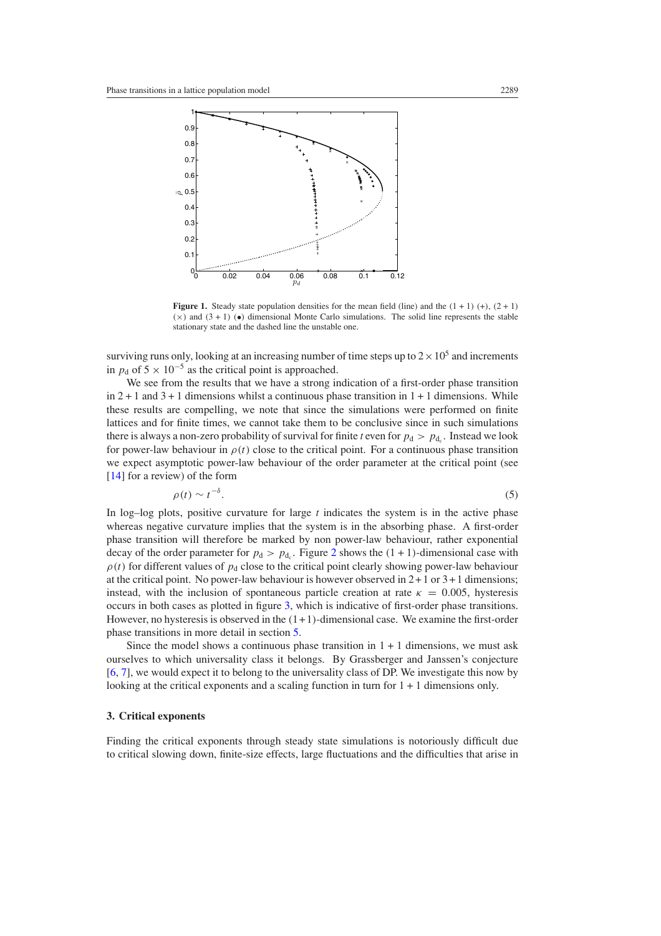<span id="page-2-0"></span>

**Figure 1.** Steady state population densities for the mean field (line) and the  $(1 + 1)$  (+),  $(2 + 1)$  $(x)$  and  $(3+1)$  ( $\bullet$ ) dimensional Monte Carlo simulations. The solid line represents the stable stationary state and the dashed line the unstable one.

surviving runs only, looking at an increasing number of time steps up to  $2 \times 10^5$  and increments in  $p_d$  of  $5 \times 10^{-5}$  as the critical point is approached.

We see from the results that we have a strong indication of a first-order phase transition in  $2 + 1$  and  $3 + 1$  dimensions whilst a continuous phase transition in  $1 + 1$  dimensions. While these results are compelling, we note that since the simulations were performed on finite lattices and for finite times, we cannot take them to be conclusive since in such simulations there is always a non-zero probability of survival for finite *t* even for  $p_d > p_{d_c}$ . Instead we look for power-law behaviour in  $\rho(t)$  close to the critical point. For a continuous phase transition we expect asymptotic power-law behaviour of the order parameter at the critical point (see [\[14](#page-10-0)] for a review) of the form

$$
\rho(t) \sim t^{-\delta}.\tag{5}
$$

In log–log plots, positive curvature for large *t* indicates the system is in the active phase whereas negative curvature implies that the system is in the absorbing phase. A first-order phase transition will therefore be marked by non power-law behaviour, rather exponential decay of the order parameter for  $p_d > p_{d_c}$ . Figure [2](#page-3-0) shows the  $(1 + 1)$ -dimensional case with  $\rho(t)$  for different values of  $p_d$  close to the critical point clearly showing power-law behaviour at the critical point. No power-law behaviour is however observed in  $2 + 1$  or  $3 + 1$  dimensions; instead, with the inclusion of spontaneous particle creation at rate  $\kappa = 0.005$ , hysteresis occurs in both cases as plotted in figure [3,](#page-3-0) which is indicative of first-order phase transitions. However, no hysteresis is observed in the *(*1+1*)*-dimensional case. We examine the first-order phase transitions in more detail in section [5.](#page-7-0)

Since the model shows a continuous phase transition in  $1 + 1$  dimensions, we must ask ourselves to which universality class it belongs. By Grassberger and Janssen's conjecture [\[6](#page-9-0), [7](#page-9-0)], we would expect it to belong to the universality class of DP. We investigate this now by looking at the critical exponents and a scaling function in turn for  $1 + 1$  dimensions only.

### **3. Critical exponents**

Finding the critical exponents through steady state simulations is notoriously difficult due to critical slowing down, finite-size effects, large fluctuations and the difficulties that arise in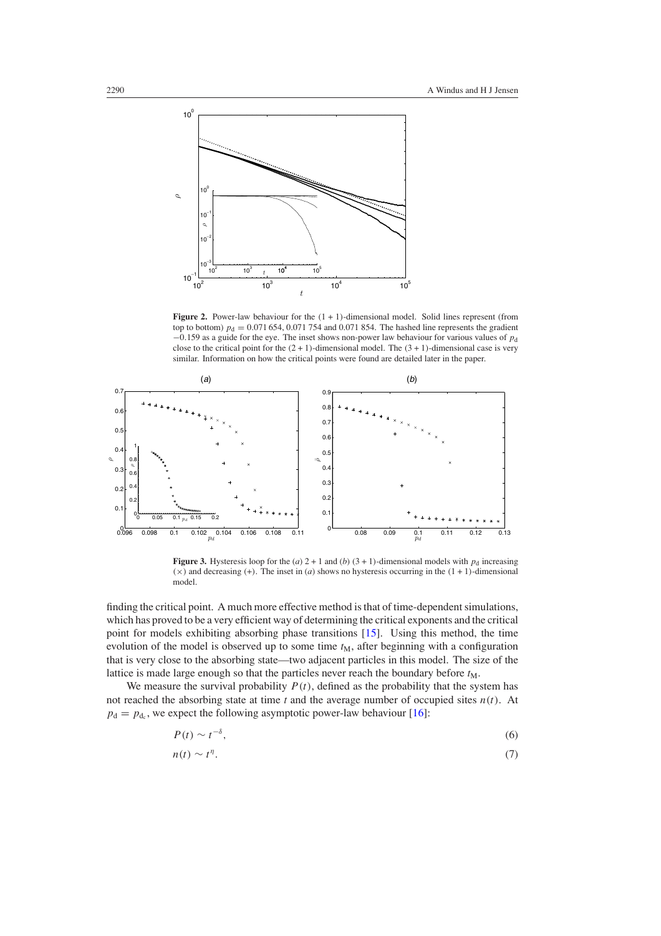<span id="page-3-0"></span>

**Figure 2.** Power-law behaviour for the *(*1+1*)*-dimensional model. Solid lines represent (from top to bottom)  $p_d = 0.071\,654, 0.071\,754$  and 0.071 854. The hashed line represents the gradient −0*.*159 as a guide for the eye. The inset shows non-power law behaviour for various values of *p*<sup>d</sup> close to the critical point for the  $(2 + 1)$ -dimensional model. The  $(3 + 1)$ -dimensional case is very similar. Information on how the critical points were found are detailed later in the paper.



**Figure 3.** Hysteresis loop for the (*a*)  $2 + 1$  and (*b*)  $(3 + 1)$ -dimensional models with  $p_d$  increasing  $(\times)$  and decreasing (+). The inset in (*a*) shows no hysteresis occurring in the  $(1 + 1)$ -dimensional model.

finding the critical point. A much more effective method is that of time-dependent simulations, which has proved to be a very efficient way of determining the critical exponents and the critical point for models exhibiting absorbing phase transitions [\[15\]](#page-10-0). Using this method, the time evolution of the model is observed up to some time  $t_M$ , after beginning with a configuration that is very close to the absorbing state—two adjacent particles in this model. The size of the lattice is made large enough so that the particles never reach the boundary before  $t_M$ .

We measure the survival probability  $P(t)$ , defined as the probability that the system has not reached the absorbing state at time *t* and the average number of occupied sites *n(t)*. At  $p_d = p_{d_c}$ , we expect the following asymptotic power-law behaviour [\[16](#page-10-0)]:

$$
P(t) \sim t^{-\delta},\tag{6}
$$

$$
n(t) \sim t^{\eta}.\tag{7}
$$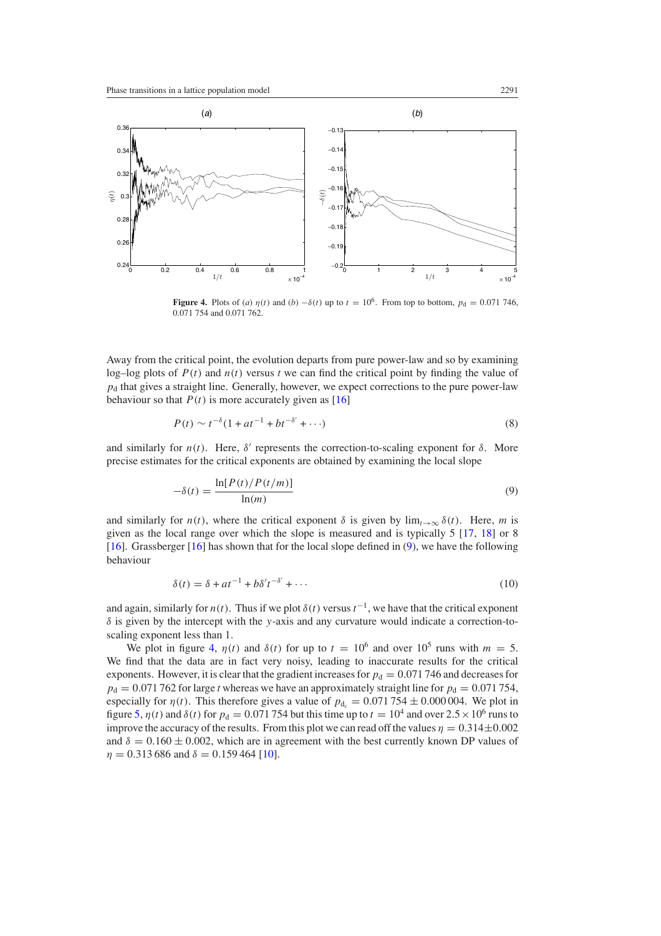

**Figure 4.** Plots of (*a*)  $\eta(t)$  and (*b*)  $-\delta(t)$  up to  $t = 10^6$ . From top to bottom,  $p_d = 0.071$  746, 0.071 754 and 0.071 762.

Away from the critical point, the evolution departs from pure power-law and so by examining log–log plots of  $P(t)$  and  $n(t)$  versus t we can find the critical point by finding the value of  $p_d$  that gives a straight line. Generally, however, we expect corrections to the pure power-law behaviour so that  $P(t)$  is more accurately given as [\[16](#page-10-0)]

$$
P(t) \sim t^{-\delta} (1 + at^{-1} + bt^{-\delta'} + \cdots)
$$
 (8)

and similarly for  $n(t)$ . Here,  $\delta'$  represents the correction-to-scaling exponent for  $\delta$ . More precise estimates for the critical exponents are obtained by examining the local slope

$$
-\delta(t) = \frac{\ln[P(t)/P(t/m)]}{\ln(m)}\tag{9}
$$

and similarly for  $n(t)$ , where the critical exponent  $\delta$  is given by  $\lim_{t\to\infty} \delta(t)$ . Here, *m* is given as the local range over which the slope is measured and is typically 5 [\[17,](#page-10-0) [18\]](#page-10-0) or 8 [\[16](#page-10-0)]. Grassberger [\[16\]](#page-10-0) has shown that for the local slope defined in (9), we have the following behaviour

$$
\delta(t) = \delta + at^{-1} + b\delta' t^{-\delta'} + \cdots \tag{10}
$$

and again, similarly for  $n(t)$ . Thus if we plot  $\delta(t)$  versus  $t^{-1}$ , we have that the critical exponent *δ* is given by the intercept with the *y*-axis and any curvature would indicate a correction-toscaling exponent less than 1.

We plot in figure 4,  $\eta(t)$  and  $\delta(t)$  for up to  $t = 10^6$  and over  $10^5$  runs with  $m = 5$ . We find that the data are in fact very noisy, leading to inaccurate results for the critical exponents. However, it is clear that the gradient increases for  $p_d = 0.071746$  and decreases for  $p_d = 0.071762$  for large *t* whereas we have an approximately straight line for  $p_d = 0.071754$ , especially for  $\eta(t)$ . This therefore gives a value of  $p_{d_c} = 0.071754 \pm 0.000004$ . We plot in figure [5,](#page-5-0)  $\eta(t)$  and  $\delta(t)$  for  $p_d = 0.071754$  but this time up to  $t = 10^4$  and over  $2.5 \times 10^6$  runs to improve the accuracy of the results. From this plot we can read off the values  $\eta = 0.314 \pm 0.002$ and  $\delta = 0.160 \pm 0.002$ , which are in agreement with the best currently known DP values of  $\eta = 0.313\,686$  and  $\delta = 0.159\,464\,[10]$  $\delta = 0.159\,464\,[10]$  $\delta = 0.159\,464\,[10]$ .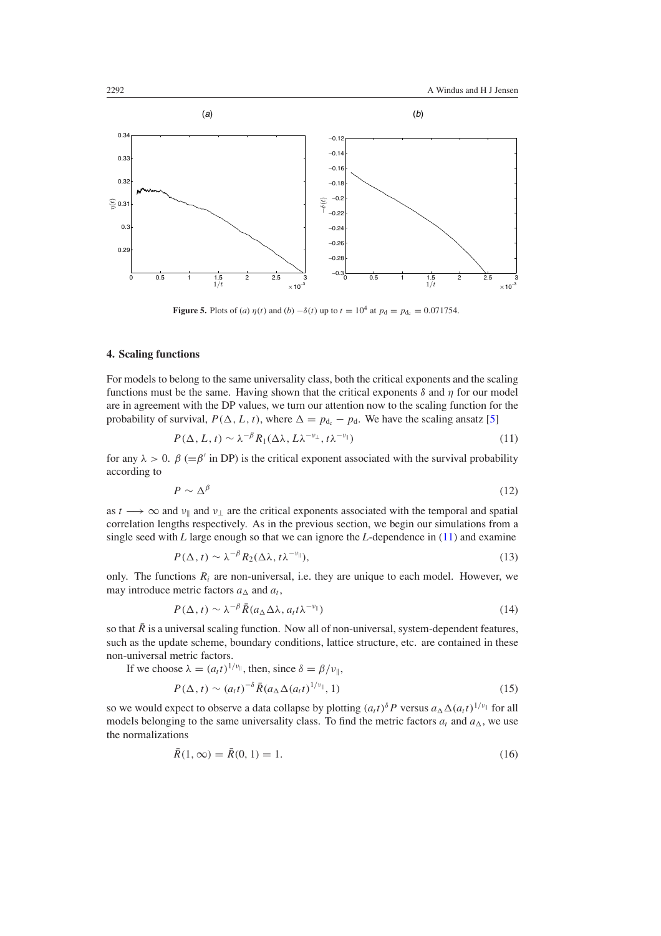<span id="page-5-0"></span>

**Figure 5.** Plots of (*a*)  $\eta(t)$  and (*b*)  $-\delta(t)$  up to  $t = 10^4$  at  $p_d = p_{d_c} = 0.071754$ .

# **4. Scaling functions**

For models to belong to the same universality class, both the critical exponents and the scaling functions must be the same. Having shown that the critical exponents *δ* and *η* for our model are in agreement with the DP values, we turn our attention now to the scaling function for the probability of survival,  $P(\Delta, L, t)$ , where  $\Delta = p_{d} - p_{d}$ . We have the scaling ansatz [\[5\]](#page-9-0)

$$
P(\Delta, L, t) \sim \lambda^{-\beta} R_1(\Delta\lambda, L\lambda^{-\nu_{\perp}}, t\lambda^{-\nu_{\parallel}})
$$
\n(11)

for any  $\lambda > 0$ .  $\beta$  (= $\beta'$  in DP) is the critical exponent associated with the survival probability according to

$$
P \sim \Delta^{\beta} \tag{12}
$$

as  $t \rightarrow \infty$  and  $\nu_{\parallel}$  and  $\nu_{\perp}$  are the critical exponents associated with the temporal and spatial correlation lengths respectively. As in the previous section, we begin our simulations from a single seed with *L* large enough so that we can ignore the *L*-dependence in (11) and examine

$$
P(\Delta, t) \sim \lambda^{-\beta} R_2(\Delta\lambda, t\lambda^{-\nu_{\parallel}}), \tag{13}
$$

only. The functions  $R_i$  are non-universal, i.e. they are unique to each model. However, we may introduce metric factors  $a_{\Lambda}$  and  $a_t$ ,

$$
P(\Delta, t) \sim \lambda^{-\beta} \bar{R}(a_{\Delta} \Delta \lambda, a_{t} t \lambda^{-\nu_{\parallel}})
$$
\n(14)

so that  $\bar{R}$  is a universal scaling function. Now all of non-universal, system-dependent features, such as the update scheme, boundary conditions, lattice structure, etc. are contained in these non-universal metric factors.

If we choose 
$$
\lambda = (a_t t)^{1/\nu_{\parallel}}
$$
, then, since  $\delta = \beta/\nu_{\parallel}$ ,  
\n $P(\Delta, t) \sim (a_t t)^{-\delta} \bar{R} (a_{\Delta} \Delta (a_t t)^{1/\nu_{\parallel}}, 1)$  (15)

so we would expect to observe a data collapse by plotting  $(a_t t)^{\delta} P$  versus  $a_{\Delta} \Delta (a_t t)^{1/v_{\parallel}}$  for all models belonging to the same universality class. To find the metric factors  $a_t$  and  $a_\Delta$ , we use the normalizations

$$
\bar{R}(1,\infty) = \bar{R}(0,1) = 1.
$$
\n(16)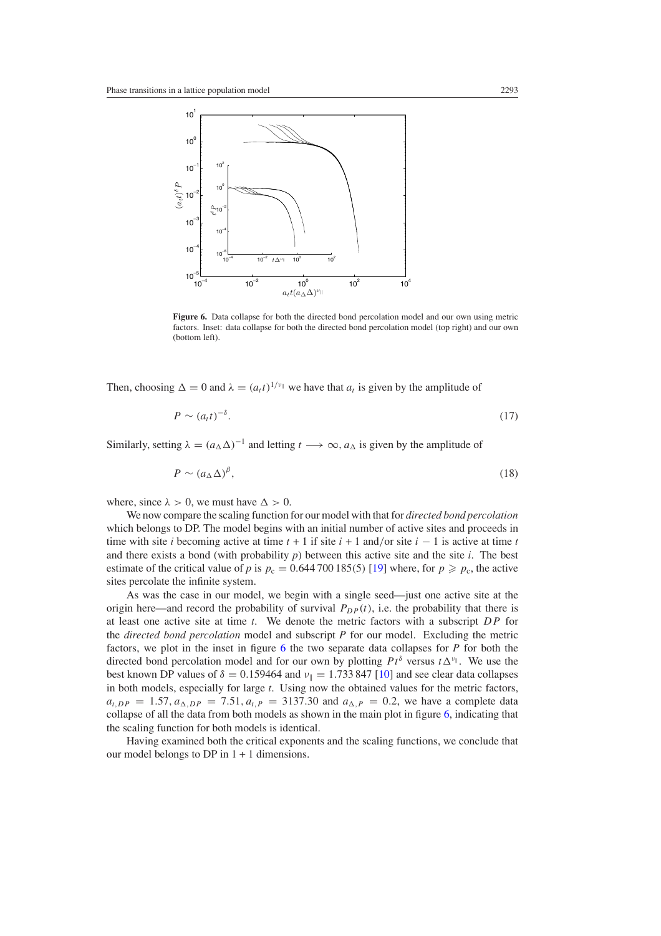

**Figure 6.** Data collapse for both the directed bond percolation model and our own using metric factors. Inset: data collapse for both the directed bond percolation model (top right) and our own (bottom left).

Then, choosing  $\Delta = 0$  and  $\lambda = (a_t t)^{1/\nu}$  we have that  $a_t$  is given by the amplitude of

$$
P \sim (a_t t)^{-\delta}.\tag{17}
$$

Similarly, setting  $\lambda = (a_{\Lambda} \Delta)^{-1}$  and letting  $t \longrightarrow \infty$ ,  $a_{\Lambda}$  is given by the amplitude of

$$
P \sim (a_{\Delta} \Delta)^{\beta},\tag{18}
$$

where, since  $\lambda > 0$ , we must have  $\Delta > 0$ .

We now compare the scaling function for our model with that for *directed bond percolation* which belongs to DP. The model begins with an initial number of active sites and proceeds in time with site *i* becoming active at time  $t + 1$  if site  $i + 1$  and/or site  $i - 1$  is active at time  $t$ and there exists a bond (with probability *p*) between this active site and the site *i*. The best estimate of the critical value of *p* is  $p_c = 0.644700185(5)$  [\[19](#page-10-0)] where, for  $p \geq p_c$ , the active sites percolate the infinite system.

As was the case in our model, we begin with a single seed—just one active site at the origin here—and record the probability of survival  $P_{DP}(t)$ , i.e. the probability that there is at least one active site at time *t*. We denote the metric factors with a subscript *DP* for the *directed bond percolation* model and subscript *P* for our model. Excluding the metric factors, we plot in the inset in figure 6 the two separate data collapses for *P* for both the directed bond percolation model and for our own by plotting  $Pt^{\delta}$  versus  $t \Delta^{\nu_{\parallel}}$ . We use the best known DP values of  $\delta = 0.159464$  and  $\nu_{\parallel} = 1.733847$  [\[10\]](#page-10-0) and see clear data collapses in both models, especially for large *t*. Using now the obtained values for the metric factors,  $a_{t,DP} = 1.57, a_{\Delta,DP} = 7.51, a_{t,P} = 3137.30$  and  $a_{\Delta, P} = 0.2$ , we have a complete data collapse of all the data from both models as shown in the main plot in figure 6, indicating that the scaling function for both models is identical.

Having examined both the critical exponents and the scaling functions, we conclude that our model belongs to DP in  $1 + 1$  dimensions.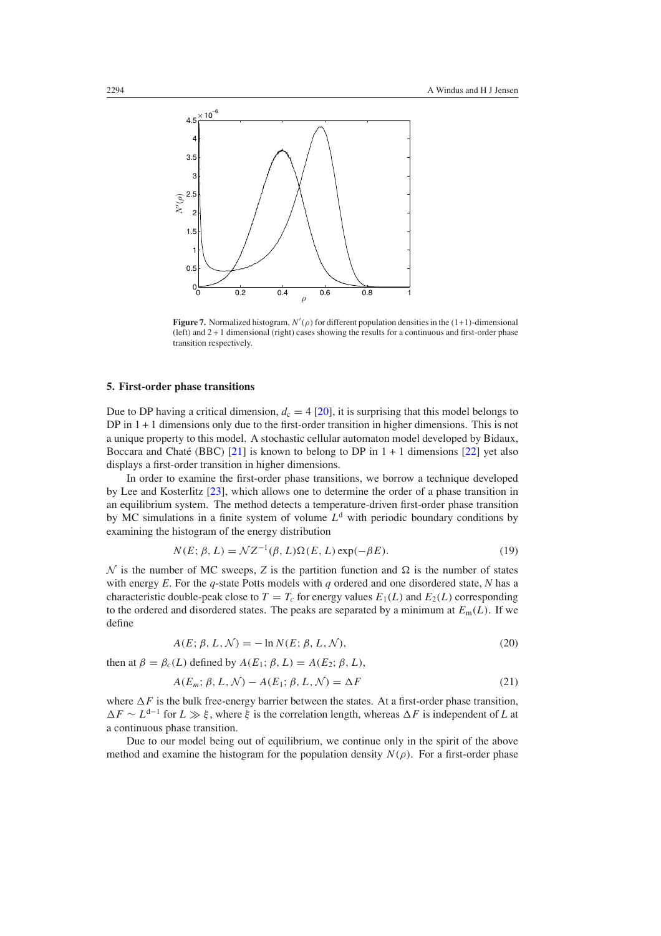<span id="page-7-0"></span>

**Figure 7.** Normalized histogram,  $N'(\rho)$  for different population densities in the  $(1+1)$ -dimensional (left) and 2 + 1 dimensional (right) cases showing the results for a continuous and first-order phase transition respectively.

## **5. First-order phase transitions**

Due to DP having a critical dimension,  $d_c = 4$  [\[20\]](#page-10-0), it is surprising that this model belongs to DP in  $1 + 1$  dimensions only due to the first-order transition in higher dimensions. This is not a unique property to this model. A stochastic cellular automaton model developed by Bidaux, Boccara and Chaté (BBC) [[21](#page-10-0)] is known to belong to DP in  $1 + 1$  dimensions [\[22\]](#page-10-0) yet also displays a first-order transition in higher dimensions.

In order to examine the first-order phase transitions, we borrow a technique developed by Lee and Kosterlitz [\[23](#page-10-0)], which allows one to determine the order of a phase transition in an equilibrium system. The method detects a temperature-driven first-order phase transition by MC simulations in a finite system of volume  $L<sup>d</sup>$  with periodic boundary conditions by examining the histogram of the energy distribution

$$
N(E; \beta, L) = \mathcal{N}Z^{-1}(\beta, L)\Omega(E, L)\exp(-\beta E). \tag{19}
$$

 $\mathcal N$  is the number of MC sweeps, *Z* is the partition function and  $\Omega$  is the number of states with energy *E*. For the *q*-state Potts models with *q* ordered and one disordered state, *N* has a characteristic double-peak close to  $T = T_c$  for energy values  $E_1(L)$  and  $E_2(L)$  corresponding to the ordered and disordered states. The peaks are separated by a minimum at  $E_m(L)$ . If we define

$$
A(E; \beta, L, \mathcal{N}) = -\ln N(E; \beta, L, \mathcal{N}),\tag{20}
$$

then at  $\beta = \beta_c(L)$  defined by  $A(E_1; \beta, L) = A(E_2; \beta, L)$ ,

$$
A(E_m; \beta, L, \mathcal{N}) - A(E_1; \beta, L, \mathcal{N}) = \Delta F \tag{21}
$$

where  $\Delta F$  is the bulk free-energy barrier between the states. At a first-order phase transition,  $\Delta F \sim L^{d-1}$  for  $L \gg \xi$ , where  $\xi$  is the correlation length, whereas  $\Delta F$  is independent of *L* at a continuous phase transition.

Due to our model being out of equilibrium, we continue only in the spirit of the above method and examine the histogram for the population density  $N(\rho)$ . For a first-order phase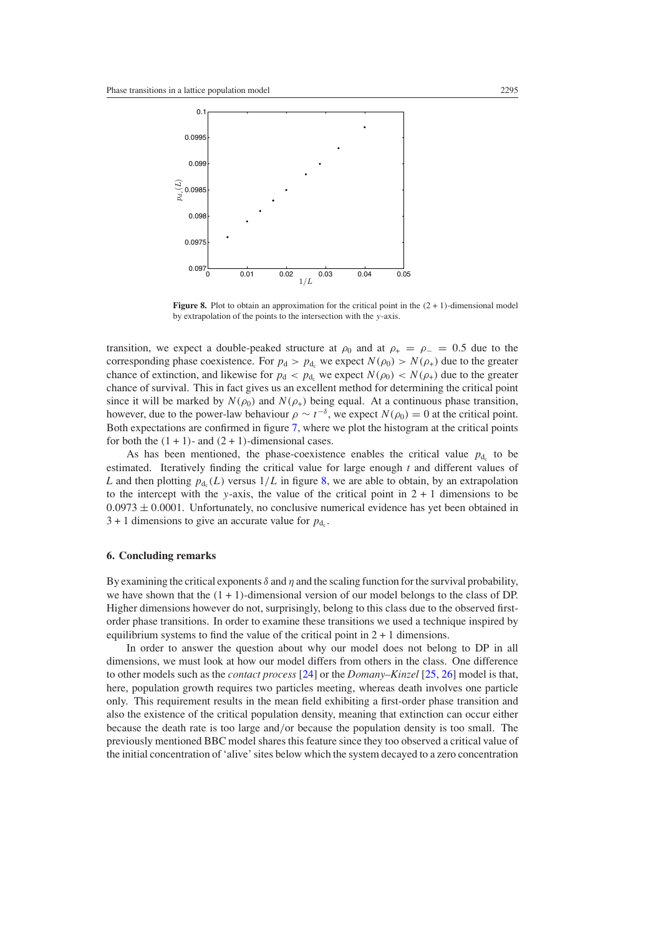<span id="page-8-0"></span>

**Figure 8.** Plot to obtain an approximation for the critical point in the  $(2 + 1)$ -dimensional model by extrapolation of the points to the intersection with the *y*-axis.

transition, we expect a double-peaked structure at  $\rho_0$  and at  $\rho_+ = \rho_- = 0.5$  due to the corresponding phase coexistence. For  $p_d > p_{d_c}$  we expect  $N(\rho_0) > N(\rho_+)$  due to the greater chance of extinction, and likewise for  $p_d < p_{d_c}$  we expect  $N(\rho_0) < N(\rho_+)$  due to the greater chance of survival. This in fact gives us an excellent method for determining the critical point since it will be marked by  $N(\rho_0)$  and  $N(\rho_+)$  being equal. At a continuous phase transition, however, due to the power-law behaviour  $\rho \sim t^{-\delta}$ , we expect  $N(\rho_0) = 0$  at the critical point. Both expectations are confirmed in figure [7,](#page-7-0) where we plot the histogram at the critical points for both the  $(1 + 1)$ - and  $(2 + 1)$ -dimensional cases.

As has been mentioned, the phase-coexistence enables the critical value  $p_{d_c}$  to be estimated. Iteratively finding the critical value for large enough *t* and different values of *L* and then plotting  $p_{d_1}(L)$  versus  $1/L$  in figure 8, we are able to obtain, by an extrapolation to the intercept with the *y*-axis, the value of the critical point in  $2 + 1$  dimensions to be  $0.0973 \pm 0.0001$ . Unfortunately, no conclusive numerical evidence has yet been obtained in  $3 + 1$  dimensions to give an accurate value for  $p_{d}$ .

## **6. Concluding remarks**

By examining the critical exponents  $\delta$  and  $\eta$  and the scaling function for the survival probability, we have shown that the *(*1+1*)*-dimensional version of our model belongs to the class of DP. Higher dimensions however do not, surprisingly, belong to this class due to the observed firstorder phase transitions. In order to examine these transitions we used a technique inspired by equilibrium systems to find the value of the critical point in  $2 + 1$  dimensions.

In order to answer the question about why our model does not belong to DP in all dimensions, we must look at how our model differs from others in the class. One difference to other models such as the *contact process* [\[24](#page-10-0)] or the *Domany–Kinzel* [\[25,](#page-10-0) [26](#page-10-0)] model is that, here, population growth requires two particles meeting, whereas death involves one particle only. This requirement results in the mean field exhibiting a first-order phase transition and also the existence of the critical population density, meaning that extinction can occur either because the death rate is too large and*/*or because the population density is too small. The previously mentioned BBC model shares this feature since they too observed a critical value of the initial concentration of 'alive' sites below which the system decayed to a zero concentration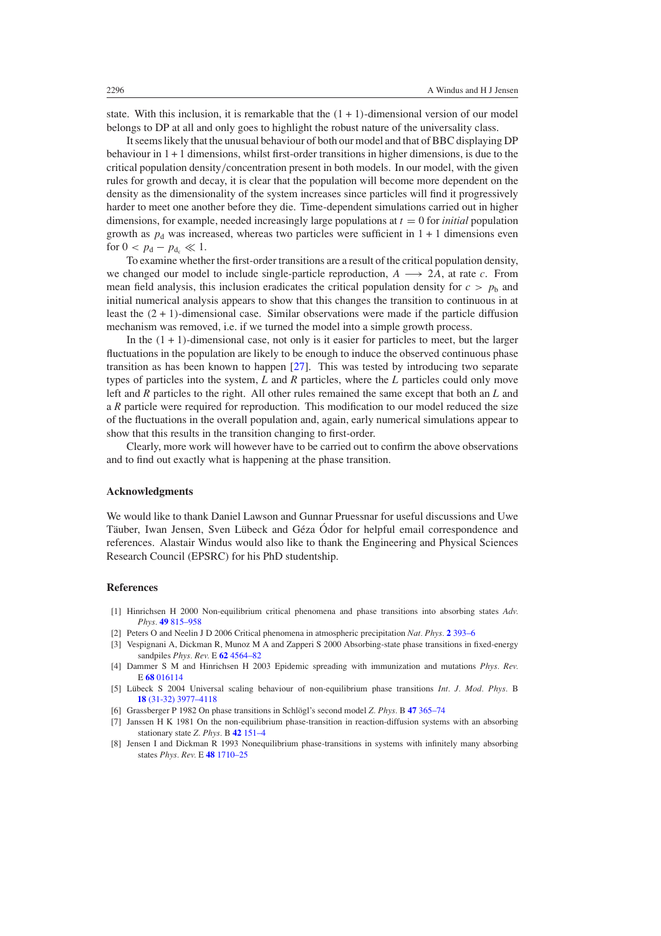<span id="page-9-0"></span>state. With this inclusion, it is remarkable that the  $(1 + 1)$ -dimensional version of our model belongs to DP at all and only goes to highlight the robust nature of the universality class.

It seems likely that the unusual behaviour of both our model and that of BBC displaying DP behaviour in 1 + 1 dimensions, whilst first-order transitions in higher dimensions, is due to the critical population density*/*concentration present in both models. In our model, with the given rules for growth and decay, it is clear that the population will become more dependent on the density as the dimensionality of the system increases since particles will find it progressively harder to meet one another before they die. Time-dependent simulations carried out in higher dimensions, for example, needed increasingly large populations at  $t = 0$  for *initial* population growth as  $p_d$  was increased, whereas two particles were sufficient in  $1 + 1$  dimensions even for  $0 < p_d - p_{d_c} \ll 1$ .

To examine whether the first-order transitions are a result of the critical population density, we changed our model to include single-particle reproduction,  $A \rightarrow 2A$ , at rate *c*. From mean field analysis, this inclusion eradicates the critical population density for  $c > p<sub>b</sub>$  and initial numerical analysis appears to show that this changes the transition to continuous in at least the *(*2+1*)*-dimensional case. Similar observations were made if the particle diffusion mechanism was removed, i.e. if we turned the model into a simple growth process.

In the  $(1 + 1)$ -dimensional case, not only is it easier for particles to meet, but the larger fluctuations in the population are likely to be enough to induce the observed continuous phase transition as has been known to happen [\[27](#page-10-0)]. This was tested by introducing two separate types of particles into the system, *L* and *R* particles, where the *L* particles could only move left and *R* particles to the right. All other rules remained the same except that both an *L* and a *R* particle were required for reproduction. This modification to our model reduced the size of the fluctuations in the overall population and, again, early numerical simulations appear to show that this results in the transition changing to first-order.

Clearly, more work will however have to be carried out to confirm the above observations and to find out exactly what is happening at the phase transition.

## **Acknowledgments**

We would like to thank Daniel Lawson and Gunnar Pruessnar for useful discussions and Uwe Täuber, Iwan Jensen, Sven Lübeck and Géza Ódor for helpful email correspondence and references. Alastair Windus would also like to thank the Engineering and Physical Sciences Research Council (EPSRC) for his PhD studentship.

## **References**

- [1] Hinrichsen H 2000 Non-equilibrium critical phenomena and phase transitions into absorbing states *Adv. Phys.* **49** [815–958](http://dx.doi.org/10.1080/00018730050198152)
- [2] Peters O and Neelin J D 2006 Critical phenomena in atmospheric precipitation *Nat. Phys.* **2** [393–6](http://dx.doi.org/10.1038/nphys314)
- [3] Vespignani A, Dickman R, Munoz M A and Zapperi S 2000 Absorbing-state phase transitions in fixed-energy sandpiles *Phys. Rev.* E **62** [4564–82](http://dx.doi.org/10.1103/PhysRevE.62.4564)
- [4] Dammer S M and Hinrichsen H 2003 Epidemic spreading with immunization and mutations *Phys. Rev.* E **68** [016114](http://dx.doi.org/10.1103/PhysRevE.68.016114)
- [5] Lübeck S 2004 Universal scaling behaviour of non-equilibrium phase transitions *Int. J. Mod. Phys.* B **18** [\(31-32\) 3977–4118](http://dx.doi.org/10.1142/S0217979204027748)
- [6] Grassberger P 1982 On phase transitions in Schlögl's second model Z. Phys. B 47 [365–74](http://dx.doi.org/10.1007/BF01313803)
- [7] Janssen H K 1981 On the non-equilibrium phase-transition in reaction-diffusion systems with an absorbing stationary state *Z. Phys.* B **42** [151–4](http://dx.doi.org/10.1007/BF01319549)
- [8] Jensen I and Dickman R 1993 Nonequilibrium phase-transitions in systems with infinitely many absorbing states *Phys. Rev.* E **48** [1710–25](http://dx.doi.org/10.1103/PhysRevE.48.1710)